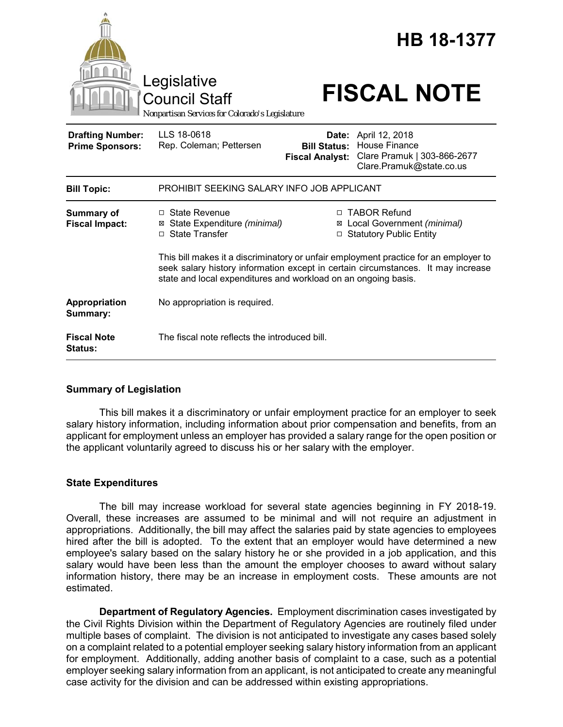

# **Summary of Legislation**

This bill makes it a discriminatory or unfair employment practice for an employer to seek salary history information, including information about prior compensation and benefits, from an applicant for employment unless an employer has provided a salary range for the open position or the applicant voluntarily agreed to discuss his or her salary with the employer.

## **State Expenditures**

The bill may increase workload for several state agencies beginning in FY 2018-19. Overall, these increases are assumed to be minimal and will not require an adjustment in appropriations. Additionally, the bill may affect the salaries paid by state agencies to employees hired after the bill is adopted. To the extent that an employer would have determined a new employee's salary based on the salary history he or she provided in a job application, and this salary would have been less than the amount the employer chooses to award without salary information history, there may be an increase in employment costs. These amounts are not estimated.

**Department of Regulatory Agencies.** Employment discrimination cases investigated by the Civil Rights Division within the Department of Regulatory Agencies are routinely filed under multiple bases of complaint. The division is not anticipated to investigate any cases based solely on a complaint related to a potential employer seeking salary history information from an applicant for employment. Additionally, adding another basis of complaint to a case, such as a potential employer seeking salary information from an applicant, is not anticipated to create any meaningful case activity for the division and can be addressed within existing appropriations.